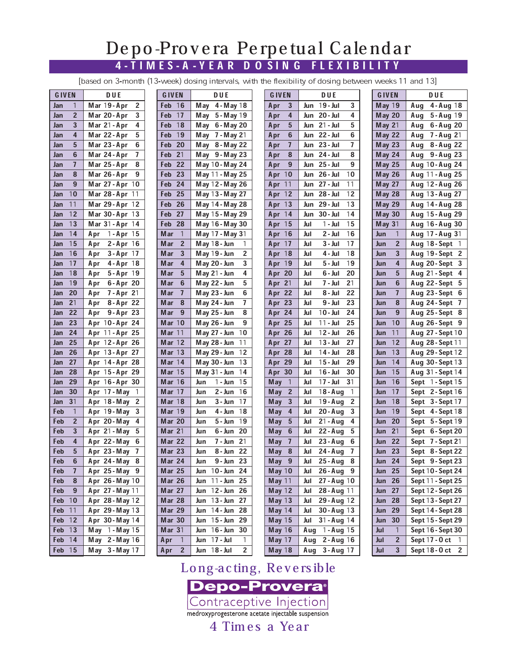## 4-TIMES-A -YEA R D O SIN G FLEXIBILITY Depo-Prov era Perpetual Calendar

[based on 3-month (13-week) dosing intervals, with the flexibility of dosing between weeks 11 and 13]

| <b>GIVEN</b>          | <b>DUE</b>                 | <b>GIVEN</b>          | <b>DUE</b>                     | G IVEN                     | <b>DUE</b>                    | <b>GIVEN</b>          | DUE                    |
|-----------------------|----------------------------|-----------------------|--------------------------------|----------------------------|-------------------------------|-----------------------|------------------------|
| 1<br>Jan              | 2<br>Mar 19-Apr            | <b>16</b><br>Feb      | May $4 - May \ 18$             | 3<br>Apr                   | 1 <b>9 - Jul</b><br>3<br>Jun  | May 19                | $4 - Aug$ 18<br>Aug    |
| $\overline{2}$<br>Jan | Mar 20-Apr<br>3            | 17<br>Feb             | May $5 -$ May 19               | 4<br>Apr                   | 4<br>Jun 20 - Jul             | <b>May 20</b>         | 5 - Aug 19<br>Aug      |
| 3<br>Jan              | 4<br>Mar 21 - Apr          | 18<br>Feb             | May 6-May 20                   | 5<br>Apr                   | 5<br><b>Jun</b> 21 - Jul      | May $21$              | 6-Aug 20<br>Aug        |
| 4<br>Jan              | Mar 22-Apr<br>5            | 19<br>Feb             | May 7 - May 21                 | 6<br>Apr                   | Jun 22 - Jul<br>6             | <b>May 22</b>         | <b>7-Aug 21</b><br>Aug |
| 5<br>Jan              | 6<br>Mar 23-Apr            | 20<br>Feb             | May 8-May 22                   | $\overline{1}$<br>Apr      | 7<br>Jun 23 - Jul             | <b>May 23</b>         | 8 - Aug 22<br>Aug      |
| 6<br>Jan              | 7<br>Mar 24 - Apr          | 21<br>Feb             | May $9 -$ May 23               | 8<br>Apr                   | Jun 24 - Jul<br>8             | May 24                | 9 - Aug 23<br>Aug      |
| $\mathbf{7}$<br>Jan   | Mar 25 - Apr<br>8          | 22<br>Feb             | May 10 - May 24                | 9<br>Apr                   | Jun 25-Jul<br>9               | <b>May 25</b>         | Aug 10-Aug 24          |
| 8<br>Jan              | Mar 26-Apr<br>9            | 23<br>Feb             | May 11 - May 25                | Apr $10$                   | Jun 26 - Jul<br>10            | <b>May 26</b>         | Aug $11 -$ Aug 25      |
| 9<br>Jan              | Mar 27 - Apr 10            | 24<br>Feb             | May 12 - May 26                | Apr $11$                   | Jun 27 - Jul<br>11            | <b>May 27</b>         | Aug 12-Aug 26          |
| 10<br>Jan             | <b>Mar 28-Apr</b> 11       | 25<br>Feb             | May 13 - May 27                | Apr $12$                   | Jun 28 - Jul<br>12            | <b>May 28</b>         | Aug 13-Aug 27          |
| 11<br>Jan             | Mar 29-Apr 12              | 26<br>Feb             | May 14 - May 28                | Apr $13$                   | 29 - Jul<br>13<br>Jun         | <b>May 29</b>         | Aug 14 - Aug 28        |
| 12<br>Jan             |                            | 27<br>Feb             |                                | Apr $14$                   | 30 - Jul<br>14<br>Jun         |                       |                        |
| 13                    | Mar 30-Apr 13              | 28                    | May 15 - May 29                |                            | 15                            | <b>May 30</b>         | Aug 15 - Aug 29        |
| Jan<br>14             | Mar $31 -$ Apr $14$        | Feb                   | May 16 - May 30                | Apr 15                     | 1 - Jul<br>Jul<br>16          | May $31$              | Aug 16-Aug 30          |
| Jan                   | 1 - Apr 15<br>Apr          | $\overline{1}$<br>Mar | May 17 - May 31                | Apr 16                     | 2 - Jul<br>Jul                | 1<br>Jun              | Aug 17 - Aug 31        |
| 15<br>Jan             | $2 - Apr$ 16<br>Apr        | $\overline{2}$<br>Mar | May 18 - Jun<br>1              | Apr $17$                   | 17<br>3 - Jul<br>Jul          | $\overline{2}$<br>Jun | Aug $18 - Sept 1$      |
| 16<br>Jan             | $3 - Apr$ 17<br>Apr        | 3<br><b>Mar</b>       | $\overline{2}$<br>May 19 - Jun | Apr 18                     | 18<br>Jul<br>4 - Jul          | 3<br>Jun              | Aug 19-Sept 2          |
| 17<br>Jan             | $4 - Apr$ 18<br>Apr        | 4<br>Mar              | 3<br>May 20 - Jun              | Apr 19                     | 19<br>Jul<br>5 - Jul          | $\overline{4}$<br>Jun | Aug 20-Sept 3          |
| 18<br>Jan             | 5-Apr 19<br>Apr            | 5<br>Mar              | 4<br>May $21 - Jun$            | Apr 20                     | 20<br>Jul<br>6 - Jul          | 5<br>Jun              | Aug $21 - Sept 4$      |
| 19<br>Jan             | 6-Apr 20<br>Apr            | 6<br>Mar              | 5<br>May 22 - Jun              | Apr 21                     | 7 - Jul<br>21<br>Jul          | 6<br>Jun              | Aug $22 - Sept 5$      |
| 20<br>Jan             | <b>7-Apr 21</b><br>Apr     | $\overline{1}$<br>Mar | 6<br>May 23 - Jun              | Apr 22                     | 8 - Jul<br>22<br>Jul          | $\mathbf{7}$<br>Jun   | Aug 23-Sept 6          |
| 21<br>Jan             | 8-Apr 22<br>Apr            | 8<br><b>Mar</b>       | May 24 - Jun<br>7              | Apr 23                     | 9 - Jul<br>23<br>Jul          | 8<br>Jun              | Aug 24-Sept 7          |
| 22<br>Jan             | $9 - Apr$ 23<br>Apr        | - 9<br>Mar            | 8<br>May 25 - Jun              | Apr 24                     | $10 -$ Jul<br>24<br>Jul       | 9<br>Jun              | Aug 25-Sept 8          |
| 23<br>Jan             | Apr 10-Apr 24              | Mar $10$              | 9<br>May 26 - Jun              | Apr 25                     | $11 -$ Jul<br>25<br>Jul       | 10<br>Jun             | Aug 26-Sept 9          |
| 24<br>Jan             | Apr 11-Apr 25              | Mar $11$              | May 27 - Jun<br>10             | Apr 26                     | $12 -$ Jul<br>26<br>Jul       | 11<br>Jun             | Aug 27 - Sept 10       |
| 25<br>Jan             | Apr 12-Apr 26              | <b>Mar 12</b>         | May 28 - Jun<br>11             | Apr 27                     | $13 -$ Jul<br>27<br>Jul       | 12<br>Jun             | Aug 28 - Sept 11       |
| 26<br>Jan             | Apr 13-Apr 27              | Mar $13$              | May 29 - Jun<br>12             | Apr 28                     | 14 - Jul<br>28<br>Jul         | 13<br>Jun             | Aug 29 - Sept 12       |
| 27<br>Jan             | Apr 14-Apr 28              | Mar $14$              | May 30 - Jun<br>13             | Apr 29                     | $15 -$ Jul<br>29<br>Jul       | 14<br>Jun             | Aug 30 - Sept 13       |
| 28<br>Jan             | Apr 15-Apr 29              | Mar $15$              | May $31 - \text{Jun}$<br>14    | Apr 30                     | 1 <b>6 - Jul</b><br>30<br>Jul | 15<br>Jun             | Aug 31 - Sept 14       |
| 29<br>Jan             | Apr 16-Apr 30              | Mar 16                | 1 <b>- Jun</b><br>15<br>Jun    | $\mathbf{1}$<br><b>May</b> | $17 -$ Jul<br>31<br>Jul       | 16<br>Jun             | Sept 1-Sept 15         |
| 30<br>Jan             | Apr 17-May<br>1            | <b>Mar 17</b>         | 2 - Jun<br>16<br>Jun           | $\overline{2}$<br>May      | $18 - Aug$<br>1<br>Jul        | 17<br>Jun             | Sept 2-Sept 16         |
| 31<br>Jan             | Apr 18-May<br>$\mathbf{2}$ | Mar 18                | 17<br>3 - Jun<br>Jun           | 3<br>M ay                  | 2<br>$19 - Aug$<br>Jul        | 18<br>Jun             | Sept 3-Sept 17         |
| $\overline{1}$<br>Feb | Apr 19-May<br>3            | <b>Mar 19</b>         | 18<br>4 - Jun<br>Jun           | 4<br><b>May</b>            | 20 - Aug<br>3<br>Jul          | 19<br>Jun             | Sept 4-Sept 18         |
| $\overline{2}$<br>Feb | Apr 20-May<br>4            | <b>Mar 20</b>         | 5 - Jun<br>19<br>Jun           | 5<br><b>May</b>            | $21 - Aug$<br>Jul<br>4        | 20<br>Jun             | Sept 5-Sept 19         |
| 3<br>Feb              | Apr 21 - May<br>5          | Mar $21$              | 6-Jun 20<br>Jun                | 6<br><b>May</b>            | $22 - Aug$<br>Jul<br>5        | 21<br>Jun             | Sept 6-Sept 20         |
| 4<br>Feb              | Apr 22-May<br>6            | Mar 22                | 7 - Jun 21<br>Jun              | $\overline{7}$<br>M ay     | $23 - Aug$<br>Jul<br>6        | 22<br>Jun             | Sept 7 - Sept 21       |
| 5<br>Feb              | Apr 23-May<br>7            | <b>Mar 23</b>         | 8 - Jun 22<br>Jun              | 8<br>M ay                  | 24 - Aug<br>7<br>Jul          | 23<br>Jun             | Sept 8-Sept 22         |
| 6<br>Feb              | Apr 24-May<br>8            | Mar 24                | 9-Jun 23<br>Jun                | 9<br><b>May</b>            | $25 - Aug$<br>8<br>Jul        | <b>Jun 24</b>         | Sept 9-Sept 23         |
| Feb<br>$\mathbf{7}$   | Apr 25-May 9               | <b>Mar 25</b>         | Jun 10-Jun 24                  | May 10                     | Jul 26-Aug 9                  | <b>Jun 25</b>         | Sept 10 - Sept 24      |
| 8<br>Feb              | Apr 26-May 10              | <b>Mar 26</b>         | Jun 11 - Jun 25                | <b>May 11</b>              | 27 - Aug 10<br>Jul            | <b>Jun 26</b>         | Sept 11 - Sept 25      |
| Feb<br>$9\,$          | Apr 27 - May 11            | <b>Mar 27</b>         | Jun 12-Jun 26                  | <b>May 12</b>              | 28-Aug 11<br>Jul              | 27<br>Jun             | Sept 12 - Sept 26      |
| Feb 10                | Apr 28-May 12              | <b>Mar 28</b>         | Jun 13-Jun 27                  | <b>May 13</b>              | 29-Aug 12<br>Jul              | 28<br>Jun             | Sept 13 - Sept 27      |
| Feb 11                | Apr 29-May 13              | <b>Mar 29</b>         | Jun 14-Jun 28                  | May 14                     | 30-Aug 13<br>Jul              | 29<br>Jun             | Sept 14 - Sept 28      |
| Feb 12                | Apr 30-May 14              | <b>Mar 30</b>         | Jun 15-Jun 29                  | May 15                     | 31 - Aug 14<br>Jul            | 30<br>Jun             | Sept 15 - Sept 29      |
| Feb 13                | May 1-May 15               | Mar 31                | Jun 16-Jun 30                  | May 16                     | Aug 1-Aug 15                  | Jul<br>$\mathbf{1}$   | Sept 16 - Sept 30      |
| Feb 14                |                            | Apr $1$               | Jun 17 - Jul                   | <b>May 17</b>              | Aug<br>$2 - Aug 16$           | $\overline{2}$        |                        |
|                       | May 2-May 16               |                       | 1                              |                            |                               | Jul                   | Sept 17 - 0 ct 1       |
| Feb 15                | May 3-May 17               | Apr <sub>2</sub>      | Jun 18 - Jul<br>$\mathbf{2}$   | May 18                     | Aug<br>3 - Aug 17             | $\mathbf{3}$<br>Jul   | Sept 18 - 0 ct 2       |

Long-acting, Rev ers ible **Depo-Provera**